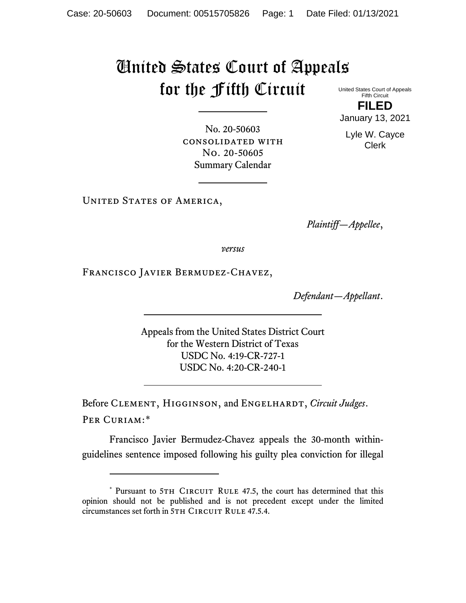## United States Court of Appeals for the Fifth Circuit

United States Court of Appeals Fifth Circuit **FILED**

January 13, 2021

Lyle W. Cayce Clerk

No. 20-50603 consolidated with No. 20-50605 Summary Calendar

UNITED STATES OF AMERICA,

*Plaintiff—Appellee*,

*versus*

Francisco Javier Bermudez-Chavez,

*Defendant—Appellant*.

Appeals from the United States District Court for the Western District of Texas USDC No. 4:19-CR-727-1 USDC No. 4:20-CR-240-1

Before CLEMENT, HIGGINSON, and ENGELHARDT, *Circuit Judges*. Per Curiam:[\\*](#page-0-0)

Francisco Javier Bermudez-Chavez appeals the 30-month withinguidelines sentence imposed following his guilty plea conviction for illegal

<span id="page-0-0"></span><sup>\*</sup> Pursuant to 5TH CIRCUIT RULE 47.5, the court has determined that this opinion should not be published and is not precedent except under the limited circumstances set forth in 5TH CIRCUIT RULE 47.5.4.